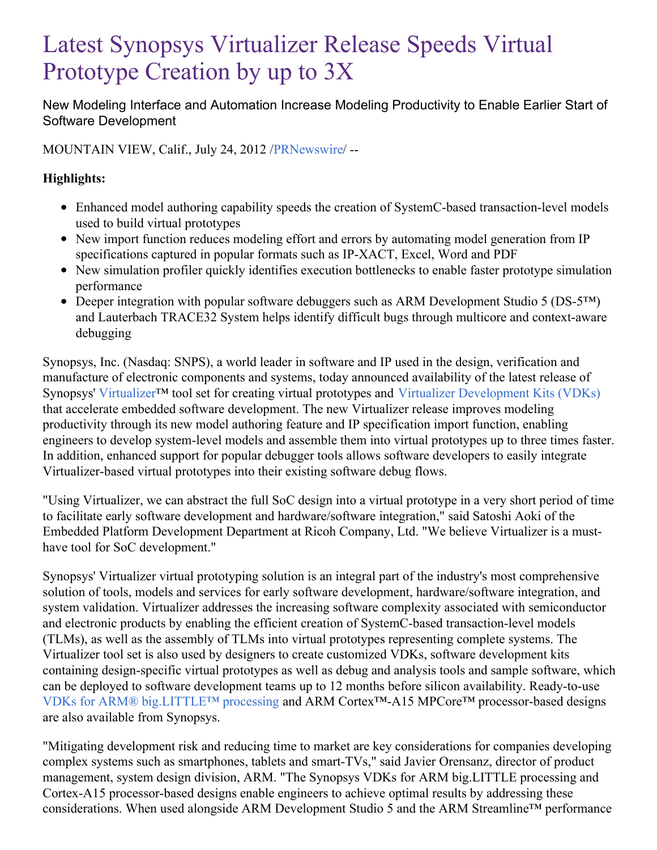# Latest Synopsys Virtualizer Release Speeds Virtual Prototype Creation by up to 3X

New Modeling Interface and Automation Increase Modeling Productivity to Enable Earlier Start of Software Development

MOUNTAIN VIEW, Calif., July 24, 2012 /[PRNewswire](http://www.prnewswire.com/)/ --

## **Highlights:**

- Enhanced model authoring capability speeds the creation of SystemC-based transaction-level models used to build virtual prototypes
- New import function reduces modeling effort and errors by automating model generation from IP specifications captured in popular formats such as IP-XACT, Excel, Word and PDF
- New simulation profiler quickly identifies execution bottlenecks to enable faster prototype simulation performance
- Deeper integration with popular software debuggers such as ARM Development Studio 5 (DS-5™) and Lauterbach TRACE32 System helps identify difficult bugs through multicore and context-aware debugging

Synopsys, Inc. (Nasdaq: SNPS), a world leader in software and IP used in the design, verification and manufacture of electronic components and systems, today announced availability of the latest release of Synopsys' [Virtualizer](http://www.synopsys.com/Systems/VirtualPrototyping/Pages/Virtualizer.aspx)<sup>™</sup> tool set for creating virtual prototypes and Virtualizer [Development](http://www.synopsys.com/Systems/VirtualPrototyping/Pages/Virtualizer.aspx) Kits (VDKs) that accelerate embedded software development. The new Virtualizer release improves modeling productivity through its new model authoring feature and IP specification import function, enabling engineers to develop system-level models and assemble them into virtual prototypes up to three times faster. In addition, enhanced support for popular debugger tools allows software developers to easily integrate Virtualizer-based virtual prototypes into their existing software debug flows.

"Using Virtualizer, we can abstract the full SoC design into a virtual prototype in a very short period of time to facilitate early software development and hardware/software integration," said Satoshi Aoki of the Embedded Platform Development Department at Ricoh Company, Ltd. "We believe Virtualizer is a musthave tool for SoC development."

Synopsys' Virtualizer virtual prototyping solution is an integral part of the industry's most comprehensive solution of tools, models and services for early software development, hardware/software integration, and system validation. Virtualizer addresses the increasing software complexity associated with semiconductor and electronic products by enabling the efficient creation of SystemC-based transaction-level models (TLMs), as well as the assembly of TLMs into virtual prototypes representing complete systems. The Virtualizer tool set is also used by designers to create customized VDKs, software development kits containing design-specific virtual prototypes as well as debug and analysis tools and sample software, which can be deployed to software development teams up to 12 months before silicon availability. Ready-to-use VDKs for ARM® [big.LITTLE™](http://www.synopsys.com/Systems/VirtualPrototyping/Pages/VDK4big-LITTLE.aspx) processing and ARM Cortex™-A15 MPCore™ processor-based designs are also available from Synopsys.

"Mitigating development risk and reducing time to market are key considerations for companies developing complex systems such as smartphones, tablets and smart-TVs," said Javier Orensanz, director of product management, system design division, ARM. "The Synopsys VDKs for ARM big.LITTLE processing and Cortex-A15 processor-based designs enable engineers to achieve optimal results by addressing these considerations. When used alongside ARM Development Studio 5 and the ARM Streamline™ performance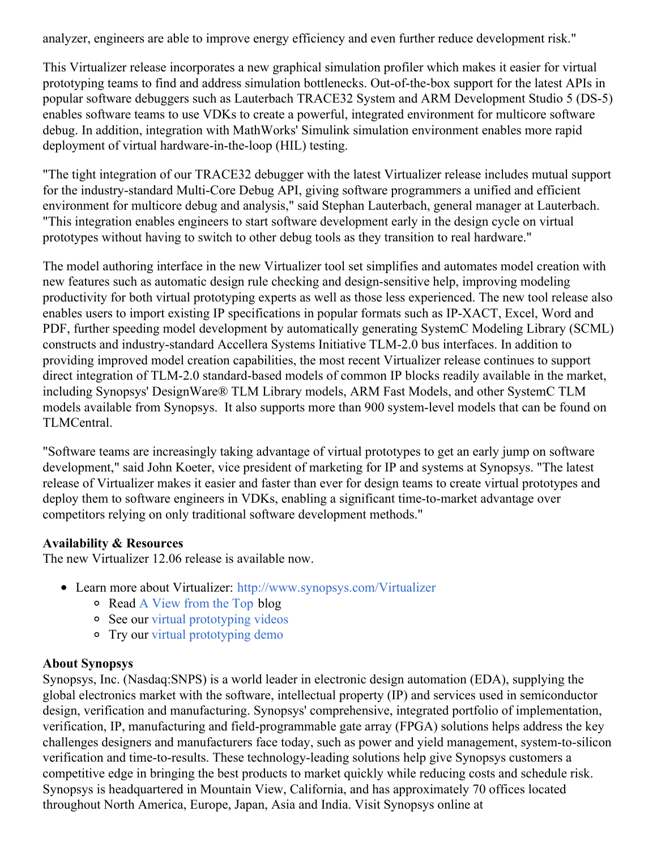analyzer, engineers are able to improve energy efficiency and even further reduce development risk."

This Virtualizer release incorporates a new graphical simulation profiler which makes it easier for virtual prototyping teams to find and address simulation bottlenecks. Out-of-the-box support for the latest APIs in popular software debuggers such as Lauterbach TRACE32 System and ARM Development Studio 5 (DS-5) enables software teams to use VDKs to create a powerful, integrated environment for multicore software debug. In addition, integration with MathWorks' Simulink simulation environment enables more rapid deployment of virtual hardware-in-the-loop (HIL) testing.

"The tight integration of our TRACE32 debugger with the latest Virtualizer release includes mutual support for the industry-standard Multi-Core Debug API, giving software programmers a unified and efficient environment for multicore debug and analysis," said Stephan Lauterbach, general manager at Lauterbach. "This integration enables engineers to start software development early in the design cycle on virtual prototypes without having to switch to other debug tools as they transition to real hardware."

The model authoring interface in the new Virtualizer tool set simplifies and automates model creation with new features such as automatic design rule checking and design-sensitive help, improving modeling productivity for both virtual prototyping experts as well as those less experienced. The new tool release also enables users to import existing IP specifications in popular formats such as IP-XACT, Excel, Word and PDF, further speeding model development by automatically generating SystemC Modeling Library (SCML) constructs and industry-standard Accellera Systems Initiative TLM-2.0 bus interfaces. In addition to providing improved model creation capabilities, the most recent Virtualizer release continues to support direct integration of TLM-2.0 standard-based models of common IP blocks readily available in the market, including Synopsys' DesignWare® TLM Library models, ARM Fast Models, and other SystemC TLM models available from Synopsys. It also supports more than 900 system-level models that can be found on TLMCentral.

"Software teams are increasingly taking advantage of virtual prototypes to get an early jump on software development," said John Koeter, vice president of marketing for IP and systems at Synopsys. "The latest release of Virtualizer makes it easier and faster than ever for design teams to create virtual prototypes and deploy them to software engineers in VDKs, enabling a significant time-to-market advantage over competitors relying on only traditional software development methods."

#### **Availability & Resources**

The new Virtualizer 12.06 release is available now.

- Learn more about Virtualizer: <http://www.synopsys.com/Virtualizer>
	- Read A [View](http://blogs.synopsys.com/viewfromtop/) from the Top blog
	- See our virtual [prototyping](https://www.synopsys.com/verification/resources/videos.html) videos
	- Try our virtual [prototyping](https://www.synopsys.com/verification/virtual-prototyping.html) demo

#### **About Synopsys**

Synopsys, Inc. (Nasdaq:SNPS) is a world leader in electronic design automation (EDA), supplying the global electronics market with the software, intellectual property (IP) and services used in semiconductor design, verification and manufacturing. Synopsys' comprehensive, integrated portfolio of implementation, verification, IP, manufacturing and field-programmable gate array (FPGA) solutions helps address the key challenges designers and manufacturers face today, such as power and yield management, system-to-silicon verification and time-to-results. These technology-leading solutions help give Synopsys customers a competitive edge in bringing the best products to market quickly while reducing costs and schedule risk. Synopsys is headquartered in Mountain View, California, and has approximately 70 offices located throughout North America, Europe, Japan, Asia and India. Visit Synopsys online at